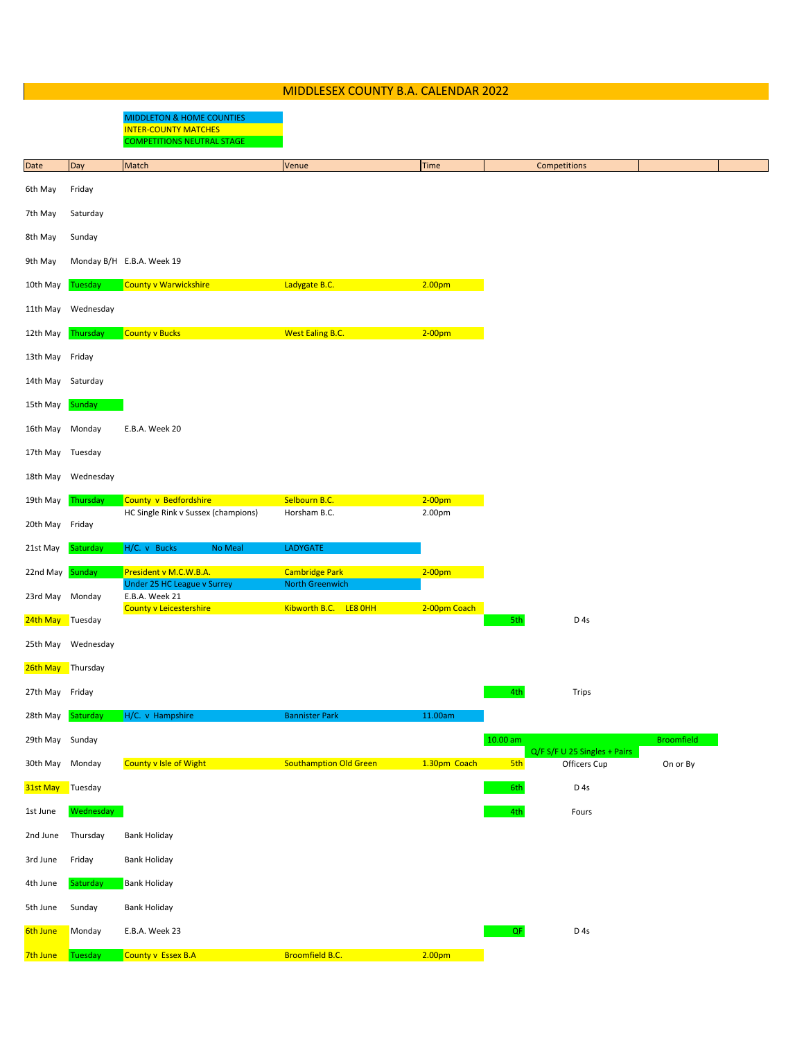|                   | MIDDLESEX COUNTY B.A. CALENDAR 2022 |                                                                                                          |                                                 |                    |            |                              |                   |  |
|-------------------|-------------------------------------|----------------------------------------------------------------------------------------------------------|-------------------------------------------------|--------------------|------------|------------------------------|-------------------|--|
|                   |                                     | <b>MIDDLETON &amp; HOME COUNTIES</b><br><b>INTER-COUNTY MATCHES</b><br><b>COMPETITIONS NEUTRAL STAGE</b> |                                                 |                    |            |                              |                   |  |
| Date              | Day                                 | Match                                                                                                    | Venue                                           | <b>Time</b>        |            | Competitions                 |                   |  |
| 6th May           | Friday                              |                                                                                                          |                                                 |                    |            |                              |                   |  |
| 7th May           | Saturday                            |                                                                                                          |                                                 |                    |            |                              |                   |  |
| 8th May           | Sunday                              |                                                                                                          |                                                 |                    |            |                              |                   |  |
| 9th May           |                                     | Monday B/H E.B.A. Week 19                                                                                |                                                 |                    |            |                              |                   |  |
| 10th May          | Tuesday                             | County v Warwickshire                                                                                    | Ladygate B.C.                                   | 2.00 <sub>pm</sub> |            |                              |                   |  |
| 11th May          | Wednesday                           |                                                                                                          |                                                 |                    |            |                              |                   |  |
| 12th May          | Thursday                            | <b>County v Bucks</b>                                                                                    | <b>West Ealing B.C.</b>                         | $2-00$ pm          |            |                              |                   |  |
| 13th May          | Friday                              |                                                                                                          |                                                 |                    |            |                              |                   |  |
| 14th May          | Saturday                            |                                                                                                          |                                                 |                    |            |                              |                   |  |
| 15th May          | Sunday                              |                                                                                                          |                                                 |                    |            |                              |                   |  |
| 16th May          | Monday                              | E.B.A. Week 20                                                                                           |                                                 |                    |            |                              |                   |  |
| 17th May          | Tuesday                             |                                                                                                          |                                                 |                    |            |                              |                   |  |
| 18th May          | Wednesday                           |                                                                                                          |                                                 |                    |            |                              |                   |  |
| 19th May          | Thursday                            | County v Bedfordshire                                                                                    | Selbourn B.C.                                   | $2-00$ pm          |            |                              |                   |  |
| 20th May          | Friday                              | HC Single Rink v Sussex (champions)                                                                      | Horsham B.C.                                    | 2.00pm             |            |                              |                   |  |
| 21st May          | Saturday                            | H/C. v Bucks<br>No Meal                                                                                  | LADYGATE                                        |                    |            |                              |                   |  |
| 22nd May          | Sunday                              | President v M.C.W.B.A.                                                                                   | <b>Cambridge Park</b>                           | $2-00pm$           |            |                              |                   |  |
| 23rd May          | Monday                              | <b>Under 25 HC League v Surrey</b><br>E.B.A. Week 21<br><b>County v Leicestershire</b>                   | <b>North Greenwich</b><br>Kibworth B.C. LE8 OHH | 2-00pm Coach       |            |                              |                   |  |
| 24th May          | Tuesday                             |                                                                                                          |                                                 |                    | 5th        | D <sub>4s</sub>              |                   |  |
|                   | 25th May Wednesday                  |                                                                                                          |                                                 |                    |            |                              |                   |  |
| 26th May Thursday |                                     |                                                                                                          |                                                 |                    |            |                              |                   |  |
| 27th May Friday   |                                     |                                                                                                          |                                                 |                    | 4th        | <b>Trips</b>                 |                   |  |
| 28th May          | Saturday                            | H/C. v Hampshire                                                                                         | <b>Bannister Park</b>                           | 11.00am            |            |                              |                   |  |
| 29th May Sunday   |                                     |                                                                                                          |                                                 |                    | $10.00$ am | Q/F S/F U 25 Singles + Pairs | <b>Broomfield</b> |  |
| 30th May          | Monday                              | <b>County v Isle of Wight</b>                                                                            | <b>Southamption Old Green</b>                   | 1.30pm Coach       | 5th        | Officers Cup                 | On or By          |  |
| 31st May          | Tuesday                             |                                                                                                          |                                                 |                    | 6th        | D <sub>4s</sub>              |                   |  |
| 1st June          | Wednesday                           |                                                                                                          |                                                 |                    | 4th        | Fours                        |                   |  |
| 2nd June          | Thursday                            | <b>Bank Holiday</b>                                                                                      |                                                 |                    |            |                              |                   |  |
| 3rd June          | Friday                              | <b>Bank Holiday</b>                                                                                      |                                                 |                    |            |                              |                   |  |
| 4th June          | Saturday                            | <b>Bank Holiday</b>                                                                                      |                                                 |                    |            |                              |                   |  |
| 5th June          | Sunday                              | <b>Bank Holiday</b>                                                                                      |                                                 |                    |            |                              |                   |  |
| 6th June          | Monday                              | E.B.A. Week 23                                                                                           |                                                 |                    | QF         | D <sub>4s</sub>              |                   |  |
| 7th June          | Tuesday                             | County v Essex B.A                                                                                       | <b>Broomfield B.C.</b>                          | 2.00 <sub>pm</sub> |            |                              |                   |  |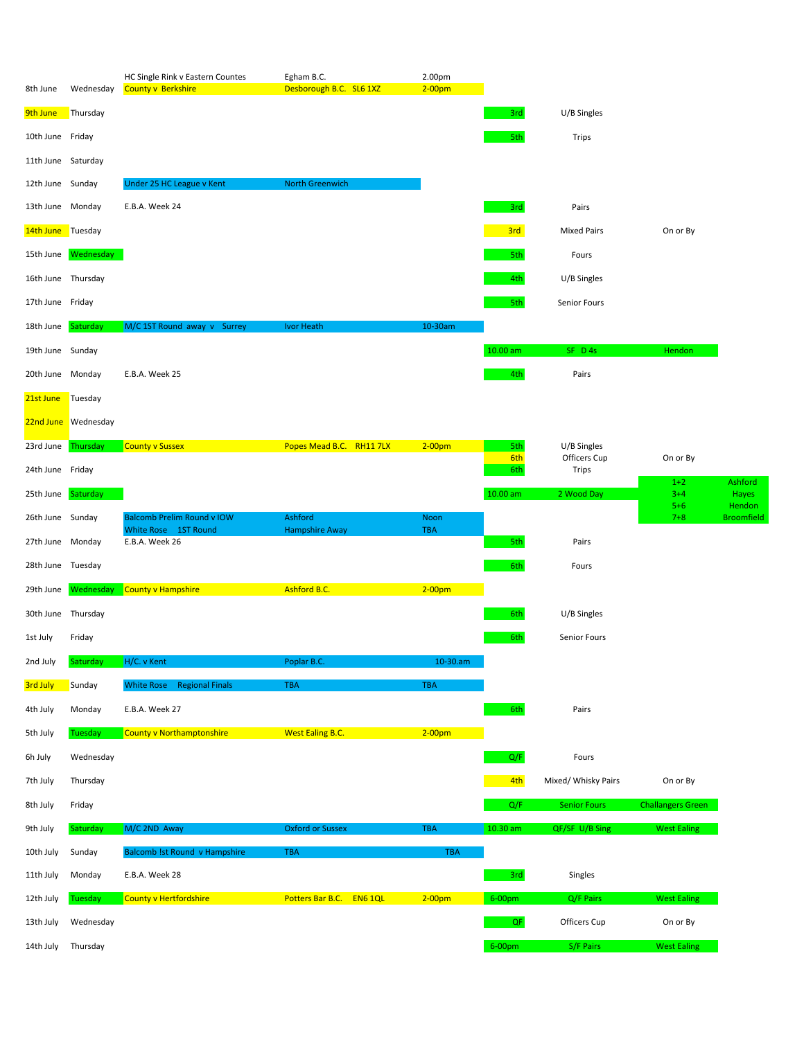| 8th June           | Wednesday           | HC Single Rink v Eastern Countes<br><b>County v Berkshire</b> | Egham B.C.<br>Desborough B.C. SL6 1XZ | 2.00pm<br>$2-00pm$ |            |                       |                          |                             |
|--------------------|---------------------|---------------------------------------------------------------|---------------------------------------|--------------------|------------|-----------------------|--------------------------|-----------------------------|
| 9th June           | Thursday            |                                                               |                                       |                    | 3rd        | U/B Singles           |                          |                             |
| 10th June Friday   |                     |                                                               |                                       |                    | 5th        | Trips                 |                          |                             |
| 11th June Saturday |                     |                                                               |                                       |                    |            |                       |                          |                             |
| 12th June Sunday   |                     | Under 25 HC League v Kent                                     | North Greenwich                       |                    |            |                       |                          |                             |
| 13th June Monday   |                     | E.B.A. Week 24                                                |                                       |                    | 3rd        | Pairs                 |                          |                             |
| 14th June Tuesday  |                     |                                                               |                                       |                    | 3rd        | <b>Mixed Pairs</b>    | On or By                 |                             |
|                    | 15th June Wednesday |                                                               |                                       |                    | 5th        | Fours                 |                          |                             |
| 16th June Thursday |                     |                                                               |                                       |                    | 4th        | U/B Singles           |                          |                             |
| 17th June Friday   |                     |                                                               |                                       |                    | 5th        | Senior Fours          |                          |                             |
| 18th June          | Saturday            | M/C 1ST Round away v Surrey                                   | Ivor Heath                            | 10-30am            |            |                       |                          |                             |
| 19th June Sunday   |                     |                                                               |                                       |                    | 10.00 am   | SF D 4s               | <b>Hendon</b>            |                             |
| 20th June Monday   |                     | E.B.A. Week 25                                                |                                       |                    | 4th        | Pairs                 |                          |                             |
| 21st June          | Tuesday             |                                                               |                                       |                    |            |                       |                          |                             |
|                    | 22nd June Wednesday |                                                               |                                       |                    |            |                       |                          |                             |
| 23rd June          | Thursday            | <b>County v Sussex</b>                                        | Popes Mead B.C. RH11 7LX              | $2-00$ pm          | 5th        | U/B Singles           |                          |                             |
| 24th June Friday   |                     |                                                               |                                       |                    | 6th<br>6th | Officers Cup<br>Trips | On or By                 |                             |
| 25th June          | Saturday            |                                                               |                                       |                    | $10.00$ am | 2 Wood Day            | $1+2$<br>$3+4$           | Ashford<br>Hayes            |
| 26th June Sunday   |                     | <b>Balcomb Prelim Round v IOW</b>                             | Ashford                               | Noon               |            |                       | $5+6$<br>$7 + 8$         | Hendon<br><b>Broomfield</b> |
| 27th June Monday   |                     | White Rose 1ST Round<br>E.B.A. Week 26                        | <b>Hampshire Away</b>                 | <b>TBA</b>         | 5th        | Pairs                 |                          |                             |
| 28th June Tuesday  |                     |                                                               |                                       |                    | 6th        | Fours                 |                          |                             |
| 29th June          | Wednesday           | County v Hampshire                                            | Ashford B.C.                          | $2-00$ pm          |            |                       |                          |                             |
| 30th June Thursday |                     |                                                               |                                       |                    | 6th        | U/B Singles           |                          |                             |
| 1st July           | Friday              |                                                               |                                       |                    | 6th        | Senior Fours          |                          |                             |
| 2nd July           | Saturday            | H/C. v Kent                                                   | Poplar B.C.                           | $10 - 30.am$       |            |                       |                          |                             |
| 3rd July           | Sunday              | White Rose Regional Finals                                    | TBA                                   | <b>TBA</b>         |            |                       |                          |                             |
| 4th July           | Monday              | E.B.A. Week 27                                                |                                       |                    | 6th        | Pairs                 |                          |                             |
| 5th July           | Tuesday             | <b>County v Northamptonshire</b>                              | <b>West Ealing B.C.</b>               | $2-00pm$           |            |                       |                          |                             |
| 6h July            | Wednesday           |                                                               |                                       |                    | Q/F        | Fours                 |                          |                             |
| 7th July           | Thursday            |                                                               |                                       |                    | 4th        | Mixed/ Whisky Pairs   | On or By                 |                             |
| 8th July           | Friday              |                                                               |                                       |                    | Q/F        | <b>Senior Fours</b>   | <b>Challangers Green</b> |                             |
| 9th July           | Saturday            | M/C 2ND Away                                                  | <b>Oxford or Sussex</b>               | TBA                | 10.30 am   | QF/SF U/B Sing        | <b>West Ealing</b>       |                             |
| 10th July          | Sunday              | Balcomb !st Round v Hampshire                                 | <b>TBA</b>                            | <b>TBA</b>         |            |                       |                          |                             |
| 11th July          |                     |                                                               |                                       |                    |            | Singles               |                          |                             |
|                    | Monday              | E.B.A. Week 28                                                |                                       |                    | 3rd        |                       |                          |                             |
| 12th July          | <b>Tuesday</b>      | County v Hertfordshire                                        | Potters Bar B.C. EN6 1QL              | $2-00pm$           | 6-00pm     | Q/F Pairs             | <b>West Ealing</b>       |                             |
| 13th July          | Wednesday           |                                                               |                                       |                    | QF         | Officers Cup          | On or By                 |                             |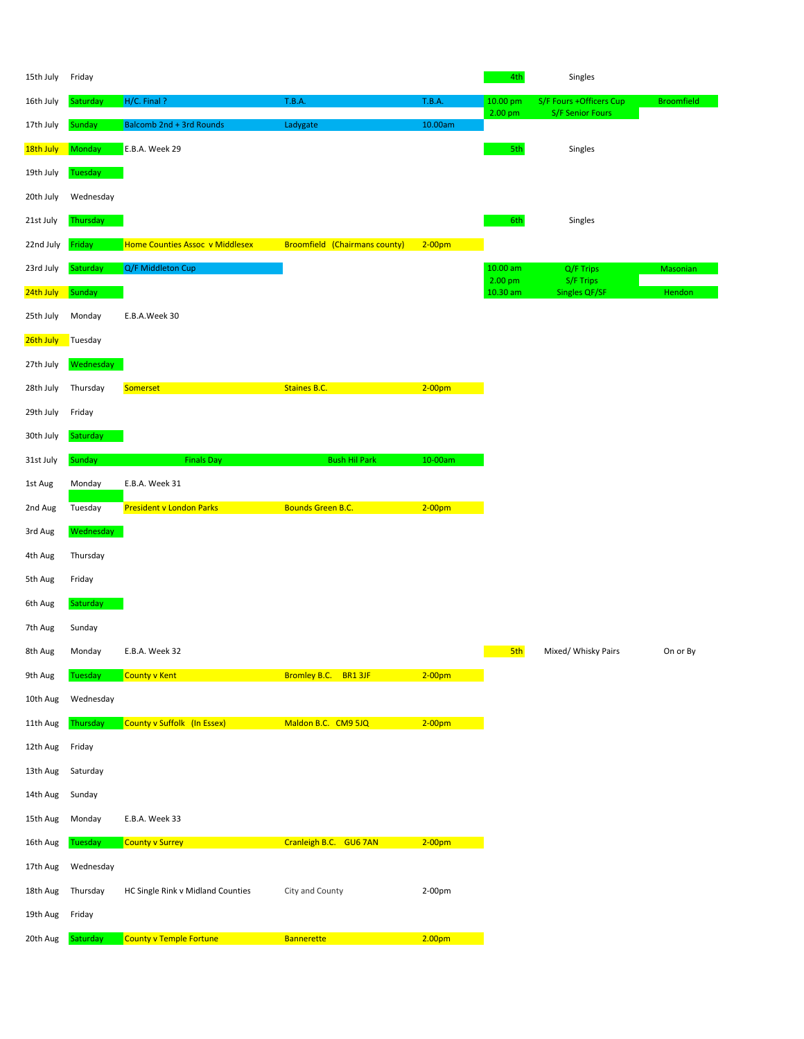| 15th July | Friday    |                                   |                                      |                    | 4th                            | Singles                                            |                   |
|-----------|-----------|-----------------------------------|--------------------------------------|--------------------|--------------------------------|----------------------------------------------------|-------------------|
| 16th July | Saturday  | H/C. Final?                       | <b>T.B.A.</b>                        | <b>T.B.A.</b>      | 10.00 pm<br>2.00 <sub>pm</sub> | S/F Fours +Officers Cup<br><b>S/F Senior Fours</b> | <b>Broomfield</b> |
| 17th July | Sunday    | Balcomb 2nd + 3rd Rounds          | Ladygate                             | 10.00am            |                                |                                                    |                   |
| 18th July | Monday    | E.B.A. Week 29                    |                                      |                    | 5th                            | Singles                                            |                   |
| 19th July | Tuesday   |                                   |                                      |                    |                                |                                                    |                   |
| 20th July | Wednesday |                                   |                                      |                    |                                |                                                    |                   |
| 21st July | Thursday  |                                   |                                      |                    | 6th                            | Singles                                            |                   |
| 22nd July | Friday    | Home Counties Assoc v Middlesex   | <b>Broomfield (Chairmans county)</b> | $2-00pm$           |                                |                                                    |                   |
| 23rd July | Saturday  | Q/F Middleton Cup                 |                                      |                    | $10.00$ am<br>2.00 pm          | Q/F Trips<br>S/F Trips                             | Masonian          |
| 24th July | Sunday    |                                   |                                      |                    | 10.30 am                       | <b>Singles QF/SF</b>                               | Hendon            |
| 25th July | Monday    | E.B.A.Week 30                     |                                      |                    |                                |                                                    |                   |
| 26th July | Tuesday   |                                   |                                      |                    |                                |                                                    |                   |
| 27th July | Wednesday |                                   |                                      |                    |                                |                                                    |                   |
| 28th July | Thursday  | Somerset                          | <b>Staines B.C.</b>                  | $2-00pm$           |                                |                                                    |                   |
| 29th July | Friday    |                                   |                                      |                    |                                |                                                    |                   |
| 30th July | Saturday  |                                   |                                      |                    |                                |                                                    |                   |
| 31st July | Sunday    | <b>Finals Day</b>                 | <b>Bush Hil Park</b>                 | 10-00am            |                                |                                                    |                   |
| 1st Aug   | Monday    | E.B.A. Week 31                    |                                      |                    |                                |                                                    |                   |
| 2nd Aug   | Tuesday   | <b>President v London Parks</b>   | <b>Bounds Green B.C.</b>             | $2-00$ pm          |                                |                                                    |                   |
| 3rd Aug   | Wednesday |                                   |                                      |                    |                                |                                                    |                   |
| 4th Aug   | Thursday  |                                   |                                      |                    |                                |                                                    |                   |
| 5th Aug   | Friday    |                                   |                                      |                    |                                |                                                    |                   |
| 6th Aug   | Saturday  |                                   |                                      |                    |                                |                                                    |                   |
| 7th Aug   | Sunday    |                                   |                                      |                    |                                |                                                    |                   |
| 8th Aug   | Monday    | E.B.A. Week 32                    |                                      |                    | 5th                            | Mixed/ Whisky Pairs                                | On or By          |
| 9th Aug   | Tuesday   | <b>County v Kent</b>              | <b>Bromley B.C.</b><br>BR1 3JF       | $2-00pm$           |                                |                                                    |                   |
| 10th Aug  | Wednesday |                                   |                                      |                    |                                |                                                    |                   |
| 11th Aug  | Thursday  | County v Suffolk (In Essex)       | Maldon B.C. CM9 5JQ                  | $2-00pm$           |                                |                                                    |                   |
| 12th Aug  | Friday    |                                   |                                      |                    |                                |                                                    |                   |
| 13th Aug  | Saturday  |                                   |                                      |                    |                                |                                                    |                   |
| 14th Aug  | Sunday    |                                   |                                      |                    |                                |                                                    |                   |
| 15th Aug  | Monday    | E.B.A. Week 33                    |                                      |                    |                                |                                                    |                   |
| 16th Aug  | Tuesday   | County v Surrey                   | Cranleigh B.C. GU6 7AN               | $2-00pm$           |                                |                                                    |                   |
| 17th Aug  | Wednesday |                                   |                                      |                    |                                |                                                    |                   |
| 18th Aug  | Thursday  | HC Single Rink v Midland Counties | City and County                      | 2-00pm             |                                |                                                    |                   |
| 19th Aug  | Friday    |                                   |                                      |                    |                                |                                                    |                   |
| 20th Aug  | Saturday  | <b>County v Temple Fortune</b>    | <b>Bannerette</b>                    | 2.00 <sub>pm</sub> |                                |                                                    |                   |